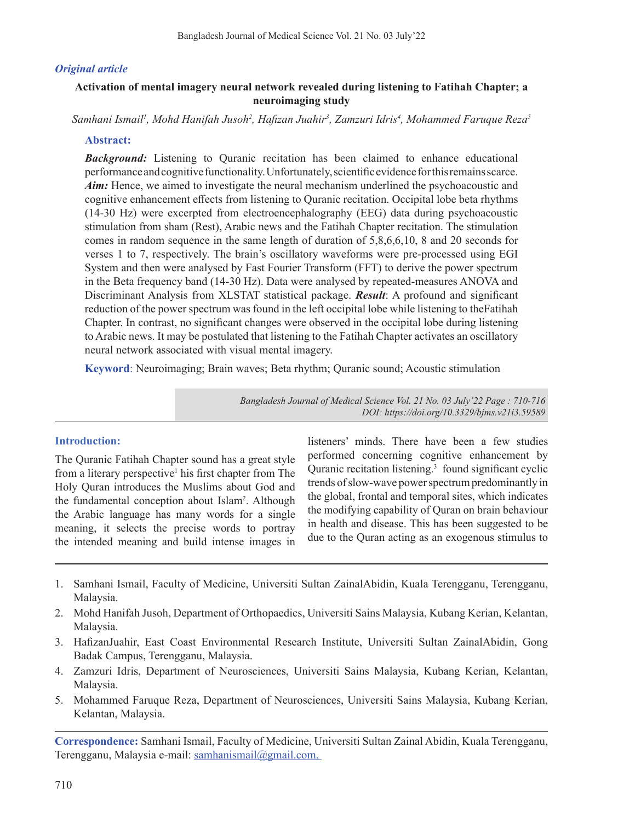# *Original article*

# **Activation of mental imagery neural network revealed during listening to Fatihah Chapter; a neuroimaging study**

*Samhani Ismail1 , Mohd Hanifah Jusoh2 , Hafizan Juahir<sup>3</sup> , Zamzuri Idris4 , Mohammed Faruque Reza5*

### **Abstract:**

*Background:* Listening to Quranic recitation has been claimed to enhance educational performanceandcognitivefunctionality.Unfortunately,scientificevidenceforthisremainsscarce. *Aim*: Hence, we aimed to investigate the neural mechanism underlined the psychoacoustic and cognitive enhancement effects from listening to Quranic recitation. Occipital lobe beta rhythms (14-30 Hz) were excerpted from electroencephalography (EEG) data during psychoacoustic stimulation from sham (Rest), Arabic news and the Fatihah Chapter recitation. The stimulation comes in random sequence in the same length of duration of 5,8,6,6,10, 8 and 20 seconds for verses 1 to 7, respectively. The brain's oscillatory waveforms were pre-processed using EGI System and then were analysed by Fast Fourier Transform (FFT) to derive the power spectrum in the Beta frequency band (14-30 Hz). Data were analysed by repeated-measures ANOVA and Discriminant Analysis from XLSTAT statistical package. *Result*: A profound and significant reduction of the power spectrum was found in the left occipital lobe while listening to theFatihah Chapter. In contrast, no significant changes were observed in the occipital lobe during listening to Arabic news. It may be postulated that listening to the Fatihah Chapter activates an oscillatory neural network associated with visual mental imagery.

**Keyword**: Neuroimaging; Brain waves; Beta rhythm; Quranic sound; Acoustic stimulation

*Bangladesh Journal of Medical Science Vol. 21 No. 03 July'22 Page : 710-716 DOI: https://doi.org/10.3329/bjms.v21i3.59589*

#### **Introduction:**

The Quranic Fatihah Chapter sound has a great style from a literary perspective<sup>1</sup> his first chapter from The Holy Quran introduces the Muslims about God and the fundamental conception about Islam<sup>2</sup>. Although the Arabic language has many words for a single meaning, it selects the precise words to portray the intended meaning and build intense images in

listeners' minds. There have been a few studies performed concerning cognitive enhancement by Quranic recitation listening.<sup>3</sup> found significant cyclic trends of slow-wave power spectrum predominantly in the global, frontal and temporal sites, which indicates the modifying capability of Quran on brain behaviour in health and disease. This has been suggested to be due to the Quran acting as an exogenous stimulus to

- 1. Samhani Ismail, Faculty of Medicine, Universiti Sultan ZainalAbidin, Kuala Terengganu, Terengganu, Malaysia.
- 2. Mohd Hanifah Jusoh, Department of Orthopaedics, Universiti Sains Malaysia, Kubang Kerian, Kelantan, Malaysia.
- 3. HafizanJuahir, East Coast Environmental Research Institute, Universiti Sultan ZainalAbidin, Gong Badak Campus, Terengganu, Malaysia.
- 4. Zamzuri Idris, Department of Neurosciences, Universiti Sains Malaysia, Kubang Kerian, Kelantan, Malaysia.
- 5. Mohammed Faruque Reza, Department of Neurosciences, Universiti Sains Malaysia, Kubang Kerian, Kelantan, Malaysia.

**Correspondence:** Samhani Ismail, Faculty of Medicine, Universiti Sultan Zainal Abidin, Kuala Terengganu, Terengganu, Malaysia e-mail: samhanismail@gmail.com,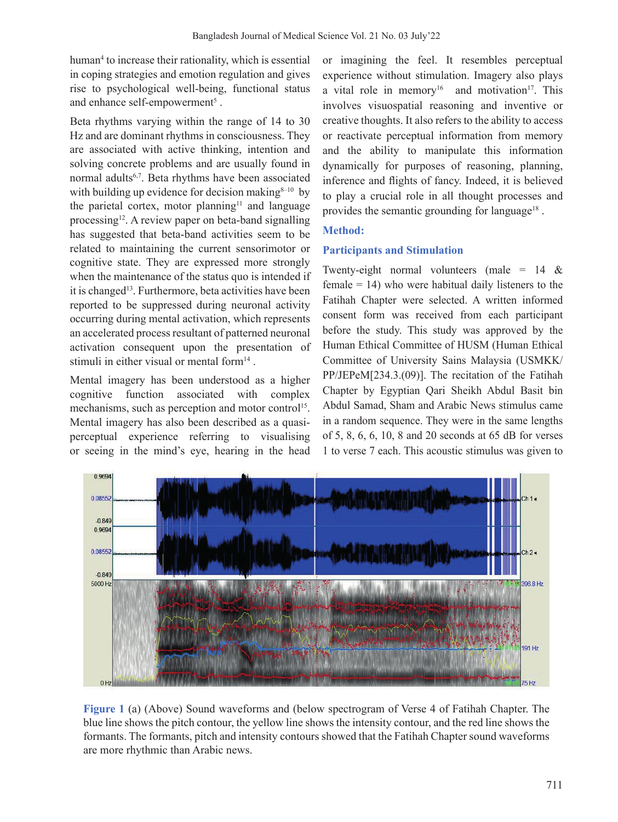human4 to increase their rationality, which is essential in coping strategies and emotion regulation and gives rise to psychological well-being, functional status and enhance self-empowerment<sup>5</sup>.

Beta rhythms varying within the range of 14 to 30 Hz and are dominant rhythms in consciousness. They are associated with active thinking, intention and solving concrete problems and are usually found in normal adults6,7. Beta rhythms have been associated with building up evidence for decision making  $8-10$  by the parietal cortex, motor planning<sup>11</sup> and language processing<sup>12</sup>. A review paper on beta-band signalling has suggested that beta-band activities seem to be related to maintaining the current sensorimotor or cognitive state. They are expressed more strongly when the maintenance of the status quo is intended if it is changed<sup>13</sup>. Furthermore, beta activities have been reported to be suppressed during neuronal activity occurring during mental activation, which represents an accelerated process resultant of patterned neuronal activation consequent upon the presentation of stimuli in either visual or mental form<sup>14</sup>.

Mental imagery has been understood as a higher cognitive function associated with complex mechanisms, such as perception and motor control<sup>15</sup>. Mental imagery has also been described as a quasiperceptual experience referring to visualising or seeing in the mind's eye, hearing in the head

or imagining the feel. It resembles perceptual experience without stimulation. Imagery also plays a vital role in memory<sup>16</sup> and motivation<sup>17</sup>. This involves visuospatial reasoning and inventive or creative thoughts. It also refers to the ability to access or reactivate perceptual information from memory and the ability to manipulate this information dynamically for purposes of reasoning, planning, inference and flights of fancy. Indeed, it is believed to play a crucial role in all thought processes and provides the semantic grounding for language<sup>18</sup>.

# **Method:**

# **Participants and Stimulation**

Twenty-eight normal volunteers (male =  $14 \&$ female  $= 14$ ) who were habitual daily listeners to the Fatihah Chapter were selected. A written informed consent form was received from each participant before the study. This study was approved by the Human Ethical Committee of HUSM (Human Ethical Committee of University Sains Malaysia (USMKK/ PP/JEPeM[234.3.(09)]. The recitation of the Fatihah Chapter by Egyptian Qari Sheikh Abdul Basit bin Abdul Samad, Sham and Arabic News stimulus came in a random sequence. They were in the same lengths of 5, 8, 6, 6, 10, 8 and 20 seconds at 65 dB for verses 1 to verse 7 each. This acoustic stimulus was given to



**Figure 1** (a) (Above) Sound waveforms and (below spectrogram of Verse 4 of Fatihah Chapter. The blue line shows the pitch contour, the yellow line shows the intensity contour, and the red line shows the formants. The formants, pitch and intensity contours showed that the Fatihah Chapter sound waveforms are more rhythmic than Arabic news.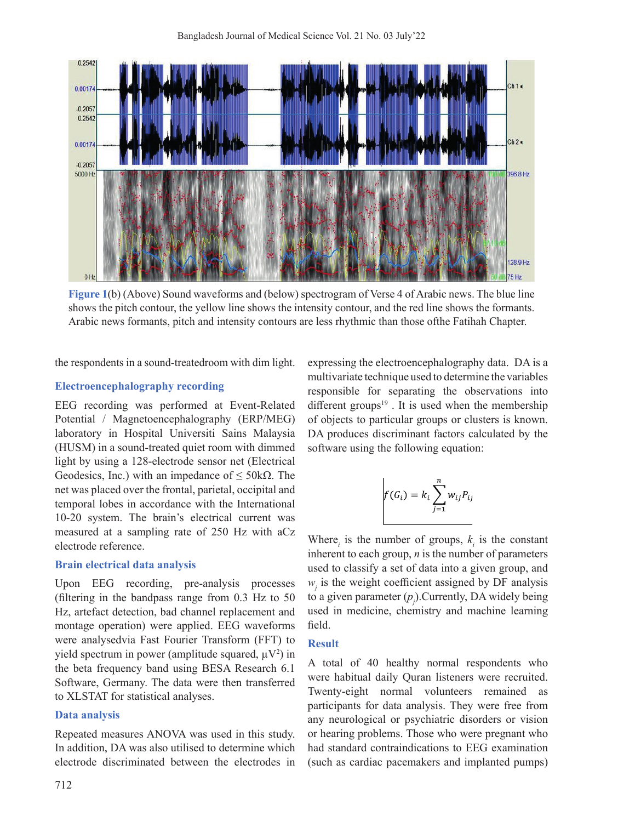

**Figure 1**(b) (Above) Sound waveforms and (below) spectrogram of Verse 4 of Arabic news. The blue line shows the pitch contour, the yellow line shows the intensity contour, and the red line shows the formants. Arabic news formants, pitch and intensity contours are less rhythmic than those ofthe Fatihah Chapter.

the respondents in a sound-treatedroom with dim light.

#### **Electroencephalography recording**

EEG recording was performed at Event-Related Potential / Magnetoencephalography (ERP/MEG) laboratory in Hospital Universiti Sains Malaysia (HUSM) in a sound-treated quiet room with dimmed light by using a 128-electrode sensor net (Electrical Geodesics, Inc.) with an impedance of  $\leq$  50k $\Omega$ . The net was placed over the frontal, parietal, occipital and temporal lobes in accordance with the International 10-20 system. The brain's electrical current was measured at a sampling rate of 250 Hz with aCz electrode reference.

#### **Brain electrical data analysis**

Upon EEG recording, pre-analysis processes (filtering in the bandpass range from 0.3 Hz to 50 Hz, artefact detection, bad channel replacement and montage operation) were applied. EEG waveforms were analysedvia Fast Fourier Transform (FFT) to yield spectrum in power (amplitude squared,  $\mu V^2$ ) in the beta frequency band using BESA Research 6.1 Software, Germany. The data were then transferred to XLSTAT for statistical analyses.

#### **Data analysis**

Repeated measures ANOVA was used in this study. In addition, DA was also utilised to determine which electrode discriminated between the electrodes in

712

expressing the electroencephalography data. DA is a multivariate technique used to determine the variables responsible for separating the observations into different groups $19$ . It is used when the membership of objects to particular groups or clusters is known. DA produces discriminant factors calculated by the software using the following equation:

$$
f(G_i) = k_i \sum_{j=1}^{n} w_{ij} P_{ij}
$$

Where<sub>*i*</sub> is the number of groups,  $k_i$  is the constant inherent to each group, *n* is the number of parameters used to classify a set of data into a given group, and  $w_i$  is the weight coefficient assigned by DF analysis to a given parameter  $(p_j)$ . Currently, DA widely being used in medicine, chemistry and machine learning field.

#### **Result**

A total of 40 healthy normal respondents who were habitual daily Quran listeners were recruited. Twenty-eight normal volunteers remained as participants for data analysis. They were free from any neurological or psychiatric disorders or vision or hearing problems. Those who were pregnant who had standard contraindications to EEG examination (such as cardiac pacemakers and implanted pumps)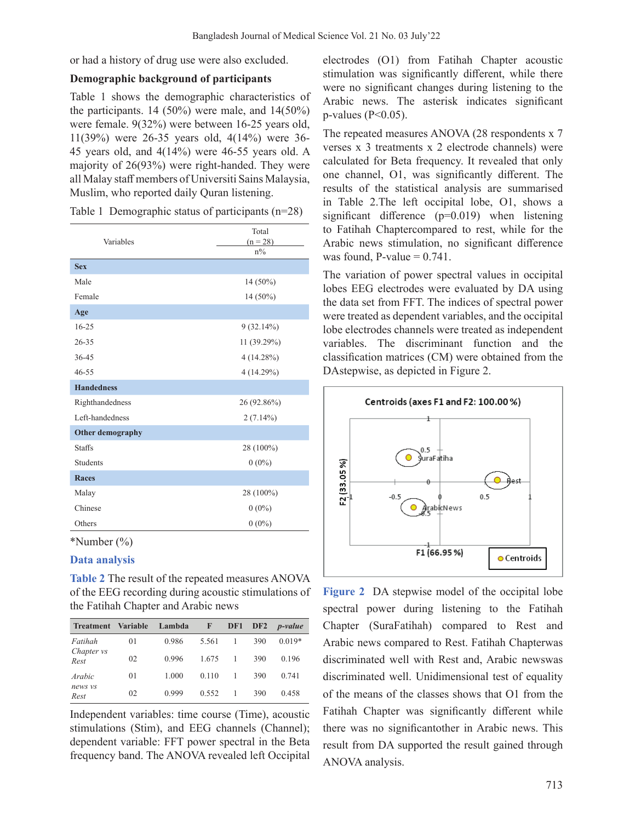or had a history of drug use were also excluded.

#### **Demographic background of participants**

Table 1 shows the demographic characteristics of the participants.  $14$  (50%) were male, and  $14(50\%)$ were female. 9(32%) were between 16-25 years old, 11(39%) were 26-35 years old, 4(14%) were 36- 45 years old, and 4(14%) were 46-55 years old. A majority of 26(93%) were right-handed. They were all Malay staff members of Universiti Sains Malaysia, Muslim, who reported daily Quran listening.

|  | Table 1 Demographic status of participants $(n=28)$ |  |  |  |
|--|-----------------------------------------------------|--|--|--|
|--|-----------------------------------------------------|--|--|--|

| Variables               | Total<br>$(n = 28)$<br>$n\%$ |  |  |
|-------------------------|------------------------------|--|--|
| <b>Sex</b>              |                              |  |  |
| Male                    | $14(50\%)$                   |  |  |
| Female                  | 14 (50%)                     |  |  |
| Age                     |                              |  |  |
| $16 - 25$               | 9(32.14%)                    |  |  |
| $26 - 35$               | 11 (39.29%)                  |  |  |
| 36-45                   | 4(14.28%)                    |  |  |
| $46 - 55$               | 4(14.29%)                    |  |  |
| <b>Handedness</b>       |                              |  |  |
| Righthandedness         | 26 (92.86%)                  |  |  |
| Left-handedness         | $2(7.14\%)$                  |  |  |
| <b>Other demography</b> |                              |  |  |
| <b>Staffs</b>           | 28 (100%)                    |  |  |
| <b>Students</b>         | $0(0\%)$                     |  |  |
| <b>Races</b>            |                              |  |  |
| Malay                   | 28 (100%)                    |  |  |
| Chinese                 | $0(0\%)$                     |  |  |
| Others                  | $0(0\%)$                     |  |  |

\*Number (%)

## **Data analysis**

**Table 2** The result of the repeated measures ANOVA of the EEG recording during acoustic stimulations of the Fatihah Chapter and Arabic news

| <b>Treatment</b>          | <b>Variable</b> | Lambda | F     | DF1 | DF2 | <i>p</i> -value |
|---------------------------|-----------------|--------|-------|-----|-----|-----------------|
| Fatihah                   | 01              | 0.986  | 5.561 |     | 390 | $0.019*$        |
| Chapter <i>vs</i><br>Rest | 02              | 0.996  | 1.675 |     | 390 | 0.196           |
| Arabic                    | 01              | 1.000  | 0.110 |     | 390 | 0.741           |
| news vs<br>Rest           | 02              | 0.999  | 0.552 |     | 390 | 0.458           |

Independent variables: time course (Time), acoustic stimulations (Stim), and EEG channels (Channel); dependent variable: FFT power spectral in the Beta frequency band. The ANOVA revealed left Occipital electrodes (O1) from Fatihah Chapter acoustic stimulation was significantly different, while there were no significant changes during listening to the Arabic news. The asterisk indicates significant p-values ( $P<0.05$ ).

The repeated measures ANOVA (28 respondents x 7 verses x 3 treatments x 2 electrode channels) were calculated for Beta frequency. It revealed that only one channel, O1, was significantly different. The results of the statistical analysis are summarised in Table 2.The left occipital lobe, O1, shows a significant difference (p=0.019) when listening to Fatihah Chaptercompared to rest, while for the Arabic news stimulation, no significant difference was found,  $P$ -value = 0.741.

The variation of power spectral values in occipital lobes EEG electrodes were evaluated by DA using the data set from FFT. The indices of spectral power were treated as dependent variables, and the occipital lobe electrodes channels were treated as independent variables. The discriminant function and the classification matrices (CM) were obtained from the DAstepwise, as depicted in Figure 2.



**Figure 2** DA stepwise model of the occipital lobe spectral power during listening to the Fatihah Chapter (SuraFatihah) compared to Rest and Arabic news compared to Rest. Fatihah Chapterwas discriminated well with Rest and, Arabic newswas discriminated well. Unidimensional test of equality of the means of the classes shows that O1 from the Fatihah Chapter was significantly different while there was no significantother in Arabic news. This result from DA supported the result gained through ANOVA analysis.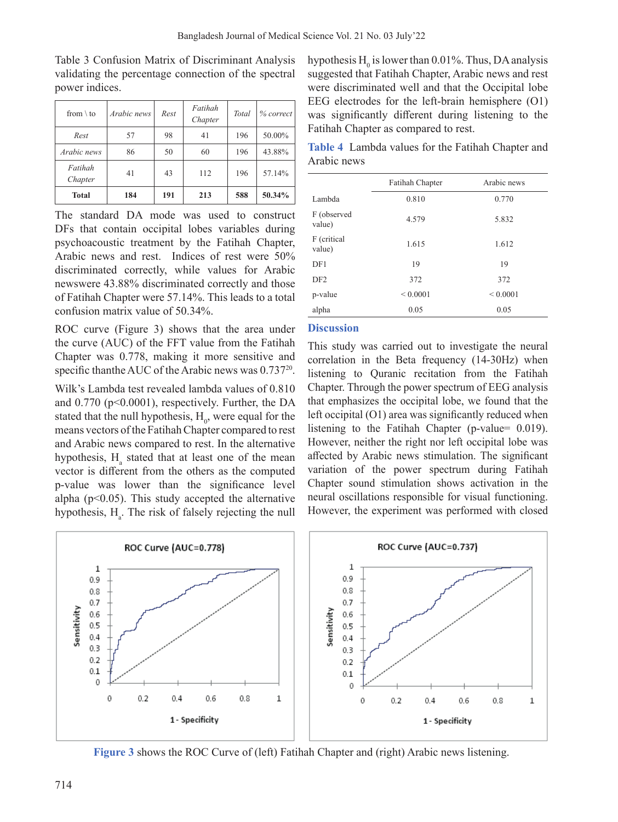| from $\setminus$ to | Arabic news | Rest | Fatihah<br>Chapter | Total | % correct |
|---------------------|-------------|------|--------------------|-------|-----------|
| Rest                | 57          | 98   | 41                 | 196   | 50.00%    |
| Arabic news         | 86          | 50   | 60                 | 196   | 43.88%    |
| Fatihah<br>Chapter  | 41          | 43   | 112                | 196   | 57.14%    |
| <b>Total</b>        | 184         | 191  | 213                | 588   | 50.34%    |

Table 3 Confusion Matrix of Discriminant Analysis validating the percentage connection of the spectral power indices.

The standard DA mode was used to construct DFs that contain occipital lobes variables during psychoacoustic treatment by the Fatihah Chapter, Arabic news and rest. Indices of rest were 50% discriminated correctly, while values for Arabic newswere 43.88% discriminated correctly and those of Fatihah Chapter were 57.14%. This leads to a total confusion matrix value of 50.34%.

ROC curve (Figure 3) shows that the area under the curve (AUC) of the FFT value from the Fatihah Chapter was 0.778, making it more sensitive and specific than the AUC of the Arabic news was 0.737<sup>20</sup>.

Wilk's Lambda test revealed lambda values of 0.810 and 0.770 (p<0.0001), respectively. Further, the DA stated that the null hypothesis,  $H_0$ , were equal for the means vectors of the Fatihah Chapter compared to rest and Arabic news compared to rest. In the alternative hypothesis, H<sub>a</sub> stated that at least one of the mean vector is different from the others as the computed p-value was lower than the significance level alpha ( $p<0.05$ ). This study accepted the alternative hypothesis,  $H_a$ . The risk of falsely rejecting the null

hypothesis  $H_0$  is lower than 0.01%. Thus, DA analysis suggested that Fatihah Chapter, Arabic news and rest were discriminated well and that the Occipital lobe EEG electrodes for the left-brain hemisphere (O1) was significantly different during listening to the Fatihah Chapter as compared to rest.

**Table 4** Lambda values for the Fatihah Chapter and Arabic news

|                       | Fatihah Chapter | Arabic news  |  |
|-----------------------|-----------------|--------------|--|
| Lambda                | 0.810           | 0.770        |  |
| F (observed<br>value) | 4.579           | 5.832        |  |
| F (critical<br>value) | 1.615           | 1.612        |  |
| DF1                   | 19              | 19           |  |
| DF2                   | 372             | 372          |  |
| p-value               | ${}< 0.0001$    | ${}< 0.0001$ |  |
| alpha                 | 0.05            | 0.05         |  |

#### **Discussion**

This study was carried out to investigate the neural correlation in the Beta frequency (14-30Hz) when listening to Quranic recitation from the Fatihah Chapter. Through the power spectrum of EEG analysis that emphasizes the occipital lobe, we found that the left occipital (O1) area was significantly reduced when listening to the Fatihah Chapter (p-value= 0.019). However, neither the right nor left occipital lobe was affected by Arabic news stimulation. The significant variation of the power spectrum during Fatihah Chapter sound stimulation shows activation in the neural oscillations responsible for visual functioning. However, the experiment was performed with closed



**Figure 3** shows the ROC Curve of (left) Fatihah Chapter and (right) Arabic news listening.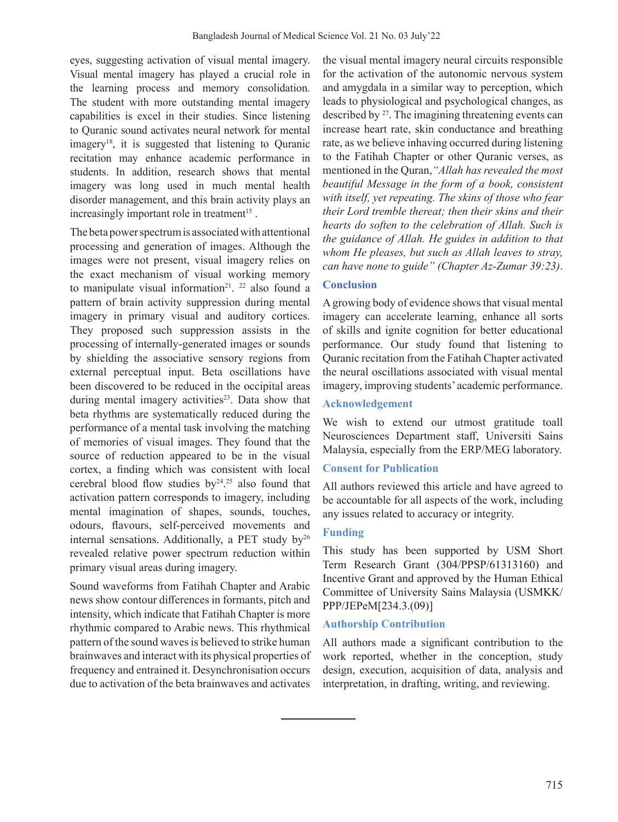eyes, suggesting activation of visual mental imagery. Visual mental imagery has played a crucial role in the learning process and memory consolidation. The student with more outstanding mental imagery capabilities is excel in their studies. Since listening to Quranic sound activates neural network for mental imagery18, it is suggested that listening to Quranic recitation may enhance academic performance in students. In addition, research shows that mental imagery was long used in much mental health disorder management, and this brain activity plays an increasingly important role in treatment<sup>15</sup>.

The beta power spectrum is associated with attentional processing and generation of images. Although the images were not present, visual imagery relies on the exact mechanism of visual working memory to manipulate visual information<sup>21</sup>.<sup>22</sup> also found a pattern of brain activity suppression during mental imagery in primary visual and auditory cortices. They proposed such suppression assists in the processing of internally-generated images or sounds by shielding the associative sensory regions from external perceptual input. Beta oscillations have been discovered to be reduced in the occipital areas during mental imagery activities<sup>23</sup>. Data show that beta rhythms are systematically reduced during the performance of a mental task involving the matching of memories of visual images. They found that the source of reduction appeared to be in the visual cortex, a finding which was consistent with local cerebral blood flow studies  $by<sup>24,25</sup>$  also found that activation pattern corresponds to imagery, including mental imagination of shapes, sounds, touches, odours, flavours, self-perceived movements and internal sensations. Additionally, a PET study  $by<sup>26</sup>$ revealed relative power spectrum reduction within primary visual areas during imagery.

Sound waveforms from Fatihah Chapter and Arabic news show contour differences in formants, pitch and intensity, which indicate that Fatihah Chapter is more rhythmic compared to Arabic news. This rhythmical pattern of the sound waves is believed to strike human brainwaves and interact with its physical properties of frequency and entrained it. Desynchronisation occurs due to activation of the beta brainwaves and activates

the visual mental imagery neural circuits responsible for the activation of the autonomic nervous system and amygdala in a similar way to perception, which leads to physiological and psychological changes, as described by <sup>27</sup>. The imagining threatening events can increase heart rate, skin conductance and breathing rate, as we believe inhaving occurred during listening to the Fatihah Chapter or other Quranic verses, as mentioned in the Quran,*"Allah has revealed the most beautiful Message in the form of a book, consistent with itself, yet repeating. The skins of those who fear their Lord tremble thereat; then their skins and their hearts do soften to the celebration of Allah. Such is the guidance of Allah. He guides in addition to that whom He pleases, but such as Allah leaves to stray, can have none to guide" (Chapter Az-Zumar 39:23)*.

# **Conclusion**

A growing body of evidence shows that visual mental imagery can accelerate learning, enhance all sorts of skills and ignite cognition for better educational performance. Our study found that listening to Quranic recitation from the Fatihah Chapter activated the neural oscillations associated with visual mental imagery, improving students' academic performance.

## **Acknowledgement**

We wish to extend our utmost gratitude toall Neurosciences Department staff, Universiti Sains Malaysia, especially from the ERP/MEG laboratory.

## **Consent for Publication**

All authors reviewed this article and have agreed to be accountable for all aspects of the work, including any issues related to accuracy or integrity.

# **Funding**

This study has been supported by USM Short Term Research Grant (304/PPSP/61313160) and Incentive Grant and approved by the Human Ethical Committee of University Sains Malaysia (USMKK/ PPP/JEPeM[234.3.(09)]

## **Authorship Contribution**

All authors made a significant contribution to the work reported, whether in the conception, study design, execution, acquisition of data, analysis and interpretation, in drafting, writing, and reviewing.